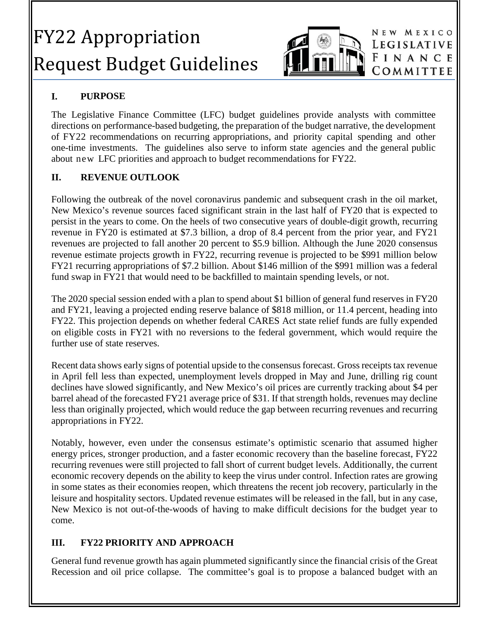# FY22 Appropriation Request Budget Guidelines



NEW MEXICO LEGISLATIVE FINANCE COMMITTEE

## **I. PURPOSE**

The Legislative Finance Committee (LFC) budget guidelines provide analysts with committee directions on performance-based budgeting, the preparation of the budget narrative, the development of FY22 recommendations on recurring appropriations, and priority capital spending and other one-time investments. The guidelines also serve to inform state agencies and the general public about new LFC priorities and approach to budget recommendations for FY22.

## **II. REVENUE OUTLOOK**

Following the outbreak of the novel coronavirus pandemic and subsequent crash in the oil market, New Mexico's revenue sources faced significant strain in the last half of FY20 that is expected to persist in the years to come. On the heels of two consecutive years of double-digit growth, recurring revenue in FY20 is estimated at \$7.3 billion, a drop of 8.4 percent from the prior year, and FY21 revenues are projected to fall another 20 percent to \$5.9 billion. Although the June 2020 consensus revenue estimate projects growth in FY22, recurring revenue is projected to be \$991 million below FY21 recurring appropriations of \$7.2 billion. About \$146 million of the \$991 million was a federal fund swap in FY21 that would need to be backfilled to maintain spending levels, or not.

The 2020 special session ended with a plan to spend about \$1 billion of general fund reserves in FY20 and FY21, leaving a projected ending reserve balance of \$818 million, or 11.4 percent, heading into FY22. This projection depends on whether federal CARES Act state relief funds are fully expended on eligible costs in FY21 with no reversions to the federal government, which would require the further use of state reserves.

Recent data shows early signs of potential upside to the consensus forecast. Gross receipts tax revenue in April fell less than expected, unemployment levels dropped in May and June, drilling rig count declines have slowed significantly, and New Mexico's oil prices are currently tracking about \$4 per barrel ahead of the forecasted FY21 average price of \$31. If that strength holds, revenues may decline less than originally projected, which would reduce the gap between recurring revenues and recurring appropriations in FY22.

Notably, however, even under the consensus estimate's optimistic scenario that assumed higher energy prices, stronger production, and a faster economic recovery than the baseline forecast, FY22 recurring revenues were still projected to fall short of current budget levels. Additionally, the current economic recovery depends on the ability to keep the virus under control. Infection rates are growing in some states as their economies reopen, which threatens the recent job recovery, particularly in the leisure and hospitality sectors. Updated revenue estimates will be released in the fall, but in any case, New Mexico is not out-of-the-woods of having to make difficult decisions for the budget year to come.

### **III. FY22 PRIORITY AND APPROACH**

General fund revenue growth has again plummeted significantly since the financial crisis of the Great Recession and oil price collapse. The committee's goal is to propose a balanced budget with an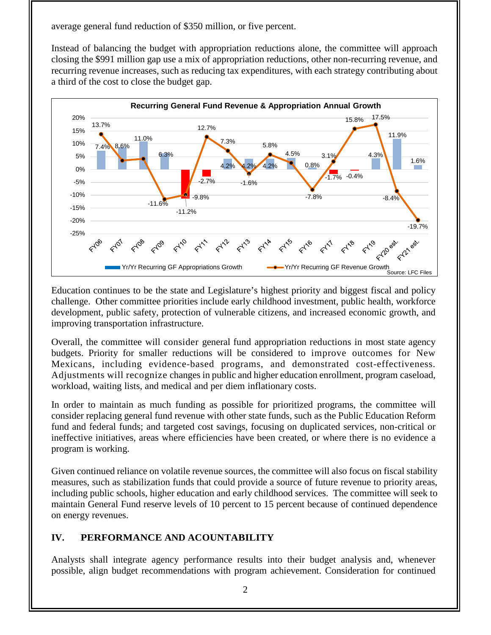average general fund reduction of \$350 million, or five percent.

Instead of balancing the budget with appropriation reductions alone, the committee will approach closing the \$991 million gap use a mix of appropriation reductions, other non-recurring revenue, and recurring revenue increases, such as reducing tax expenditures, with each strategy contributing about a third of the cost to close the budget gap.



Education continues to be the state and Legislature's highest priority and biggest fiscal and policy challenge. Other committee priorities include early childhood investment, public health, workforce development, public safety, protection of vulnerable citizens, and increased economic growth, and improving transportation infrastructure.

Overall, the committee will consider general fund appropriation reductions in most state agency budgets. Priority for smaller reductions will be considered to improve outcomes for New Mexicans, including evidence-based programs, and demonstrated cost-effectiveness. Adjustments will recognize changes in public and higher education enrollment, program caseload, workload, waiting lists, and medical and per diem inflationary costs.

In order to maintain as much funding as possible for prioritized programs, the committee will consider replacing general fund revenue with other state funds, such as the Public Education Reform fund and federal funds; and targeted cost savings, focusing on duplicated services, non-critical or ineffective initiatives, areas where efficiencies have been created, or where there is no evidence a program is working.

Given continued reliance on volatile revenue sources, the committee will also focus on fiscal stability measures, such as stabilization funds that could provide a source of future revenue to priority areas, including public schools, higher education and early childhood services. The committee will seek to maintain General Fund reserve levels of 10 percent to 15 percent because of continued dependence on energy revenues.

## **IV. PERFORMANCE AND ACOUNTABILITY**

Analysts shall integrate agency performance results into their budget analysis and, whenever possible, align budget recommendations with program achievement. Consideration for continued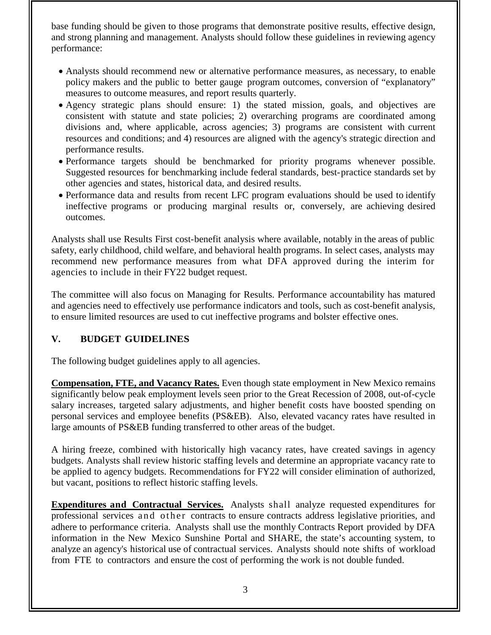base funding should be given to those programs that demonstrate positive results, effective design, and strong planning and management. Analysts should follow these guidelines in reviewing agency performance:

- Analysts should recommend new or alternative performance measures, as necessary, to enable policy makers and the public to better gauge program outcomes, conversion of "explanatory" measures to outcome measures, and report results quarterly.
- Agency strategic plans should ensure: 1) the stated mission, goals, and objectives are consistent with statute and state policies; 2) overarching programs are coordinated among divisions and, where applicable, across agencies; 3) programs are consistent with current resources and conditions; and 4) resources are aligned with the agency's strategic direction and performance results.
- Performance targets should be benchmarked for priority programs whenever possible. Suggested resources for benchmarking include federal standards, best-practice standards set by other agencies and states, historical data, and desired results.
- Performance data and results from recent LFC program evaluations should be used to identify ineffective programs or producing marginal results or, conversely, are achieving desired outcomes.

Analysts shall use Results First cost-benefit analysis where available, notably in the areas of public safety, early childhood, child welfare, and behavioral health programs. In select cases, analysts may recommend new performance measures from what DFA approved during the interim for agencies to include in their FY22 budget request.

The committee will also focus on Managing for Results. Performance accountability has matured and agencies need to effectively use performance indicators and tools, such as cost-benefit analysis, to ensure limited resources are used to cut ineffective programs and bolster effective ones.

### **V. BUDGET GUIDELINES**

The following budget guidelines apply to all agencies.

**Compensation, FTE, and Vacancy Rates.** Even though state employment in New Mexico remains significantly below peak employment levels seen prior to the Great Recession of 2008, out-of-cycle salary increases, targeted salary adjustments, and higher benefit costs have boosted spending on personal services and employee benefits (PS&EB). Also, elevated vacancy rates have resulted in large amounts of PS&EB funding transferred to other areas of the budget.

A hiring freeze, combined with historically high vacancy rates, have created savings in agency budgets. Analysts shall review historic staffing levels and determine an appropriate vacancy rate to be applied to agency budgets. Recommendations for FY22 will consider elimination of authorized, but vacant, positions to reflect historic staffing levels.

**Expenditures and Contractual Services.** Analysts shall analyze requested expenditures for professional services and other contracts to ensure contracts address legislative priorities, and adhere to performance criteria. Analysts shall use the monthly Contracts Report provided by DFA information in the New Mexico Sunshine Portal and SHARE, the state's accounting system, to analyze an agency's historical use of contractual services. Analysts should note shifts of workload from FTE to contractors and ensure the cost of performing the work is not double funded.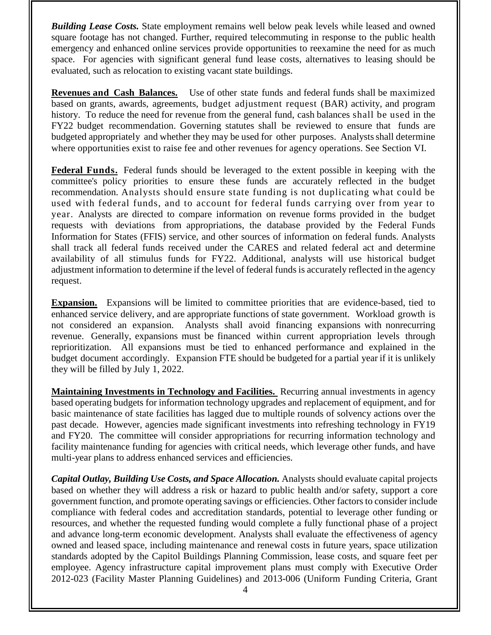**Building Lease Costs.** State employment remains well below peak levels while leased and owned square footage has not changed. Further, required telecommuting in response to the public health emergency and enhanced online services provide opportunities to reexamine the need for as much space. For agencies with significant general fund lease costs, alternatives to leasing should be evaluated, such as relocation to existing vacant state buildings.

**Revenues and Cash Balances.** Use of other state funds and federal funds shall be maximized based on grants, awards, agreements, budget adjustment request (BAR) activity, and program history. To reduce the need for revenue from the general fund, cash balances shall be used in the FY22 budget recommendation. Governing statutes shall be reviewed to ensure that funds are budgeted appropriately and whether they may be used for other purposes. Analysts shall determine where opportunities exist to raise fee and other revenues for agency operations. See Section VI.

**Federal Funds.** Federal funds should be leveraged to the extent possible in keeping with the committee's policy priorities to ensure these funds are accurately reflected in the budget recommendation. Analysts should ensure state funding is not duplicating what could be used with federal funds, and to account for federal funds carrying over from year to year. Analysts are directed to compare information on revenue forms provided in the budget requests with deviations from appropriations, the database provided by the Federal Funds Information for States (FFIS) service, and other sources of information on federal funds. Analysts shall track all federal funds received under the CARES and related federal act and determine availability of all stimulus funds for FY22. Additional, analysts will use historical budget adjustment information to determine if the level of federal funds is accurately reflected in the agency request.

**Expansion.** Expansions will be limited to committee priorities that are evidence-based, tied to enhanced service delivery, and are appropriate functions of state government. Workload growth is not considered an expansion. Analysts shall avoid financing expansions with nonrecurring revenue. Generally, expansions must be financed within current appropriation levels through reprioritization. All expansions must be tied to enhanced performance and explained in the budget document accordingly. Expansion FTE should be budgeted for a partial year if it is unlikely they will be filled by July 1, 2022.

**Maintaining Investments in Technology and Facilities.** Recurring annual investments in agency based operating budgets for information technology upgrades and replacement of equipment, and for basic maintenance of state facilities has lagged due to multiple rounds of solvency actions over the past decade. However, agencies made significant investments into refreshing technology in FY19 and FY20. The committee will consider appropriations for recurring information technology and facility maintenance funding for agencies with critical needs, which leverage other funds, and have multi-year plans to address enhanced services and efficiencies.

*Capital Outlay, Building Use Costs, and Space Allocation.* Analysts should evaluate capital projects based on whether they will address a risk or hazard to public health and/or safety, support a core government function, and promote operating savings or efficiencies. Other factors to consider include compliance with federal codes and accreditation standards, potential to leverage other funding or resources, and whether the requested funding would complete a fully functional phase of a project and advance long-term economic development. Analysts shall evaluate the effectiveness of agency owned and leased space, including maintenance and renewal costs in future years, space utilization standards adopted by the Capitol Buildings Planning Commission, lease costs, and square feet per employee. Agency infrastructure capital improvement plans must comply with Executive Order 2012-023 (Facility Master Planning Guidelines) and 2013-006 (Uniform Funding Criteria, Grant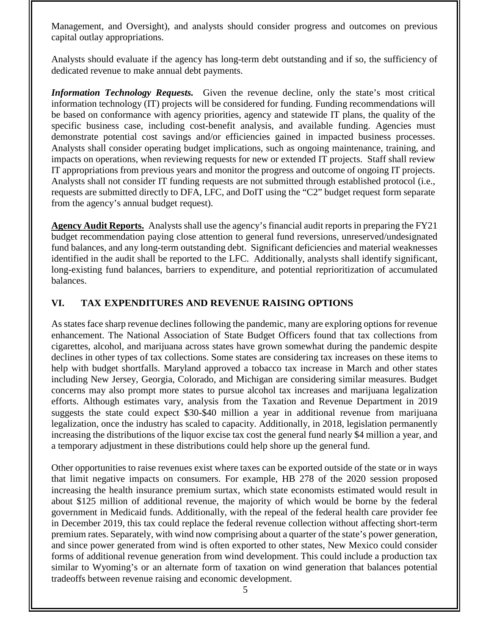Management, and Oversight), and analysts should consider progress and outcomes on previous capital outlay appropriations.

Analysts should evaluate if the agency has long-term debt outstanding and if so, the sufficiency of dedicated revenue to make annual debt payments.

*Information Technology Requests.* Given the revenue decline, only the state's most critical information technology (IT) projects will be considered for funding. Funding recommendations will be based on conformance with agency priorities, agency and statewide IT plans, the quality of the specific business case, including cost-benefit analysis, and available funding. Agencies must demonstrate potential cost savings and/or efficiencies gained in impacted business processes. Analysts shall consider operating budget implications, such as ongoing maintenance, training, and impacts on operations, when reviewing requests for new or extended IT projects. Staff shall review IT appropriations from previous years and monitor the progress and outcome of ongoing IT projects. Analysts shall not consider IT funding requests are not submitted through established protocol (i.e., requests are submitted directly to DFA, LFC, and DoIT using the "C2" budget request form separate from the agency's annual budget request).

**Agency Audit Reports.** Analysts shall use the agency's financial audit reports in preparing the FY21 budget recommendation paying close attention to general fund reversions, unreserved/undesignated fund balances, and any long-term outstanding debt. Significant deficiencies and material weaknesses identified in the audit shall be reported to the LFC. Additionally, analysts shall identify significant, long-existing fund balances, barriers to expenditure, and potential reprioritization of accumulated balances.

#### **VI. TAX EXPENDITURES AND REVENUE RAISING OPTIONS**

As states face sharp revenue declines following the pandemic, many are exploring options for revenue enhancement. The National Association of State Budget Officers found that tax collections from cigarettes, alcohol, and marijuana across states have grown somewhat during the pandemic despite declines in other types of tax collections. Some states are considering tax increases on these items to help with budget shortfalls. Maryland approved a tobacco tax increase in March and other states including New Jersey, Georgia, Colorado, and Michigan are considering similar measures. Budget concerns may also prompt more states to pursue alcohol tax increases and marijuana legalization efforts. Although estimates vary, analysis from the Taxation and Revenue Department in 2019 suggests the state could expect \$30-\$40 million a year in additional revenue from marijuana legalization, once the industry has scaled to capacity. Additionally, in 2018, legislation permanently increasing the distributions of the liquor excise tax cost the general fund nearly \$4 million a year, and a temporary adjustment in these distributions could help shore up the general fund.

Other opportunities to raise revenues exist where taxes can be exported outside of the state or in ways that limit negative impacts on consumers. For example, HB 278 of the 2020 session proposed increasing the health insurance premium surtax, which state economists estimated would result in about \$125 million of additional revenue, the majority of which would be borne by the federal government in Medicaid funds. Additionally, with the repeal of the federal health care provider fee in December 2019, this tax could replace the federal revenue collection without affecting short-term premium rates. Separately, with wind now comprising about a quarter of the state's power generation, and since power generated from wind is often exported to other states, New Mexico could consider forms of additional revenue generation from wind development. This could include a production tax similar to Wyoming's or an alternate form of taxation on wind generation that balances potential tradeoffs between revenue raising and economic development.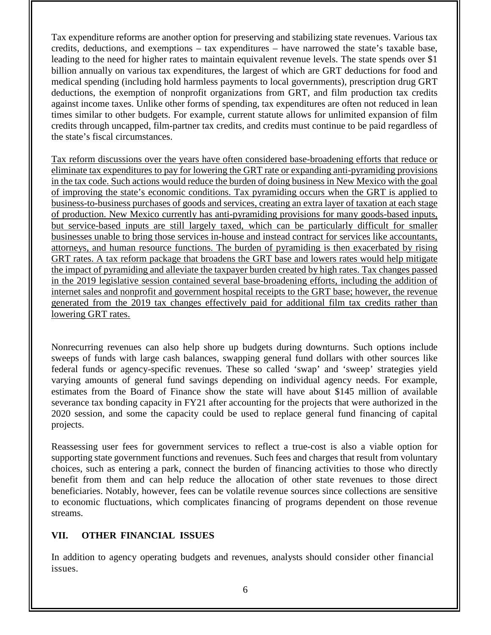Tax expenditure reforms are another option for preserving and stabilizing state revenues. Various tax credits, deductions, and exemptions – tax expenditures – have narrowed the state's taxable base, leading to the need for higher rates to maintain equivalent revenue levels. The state spends over \$1 billion annually on various tax expenditures, the largest of which are GRT deductions for food and medical spending (including hold harmless payments to local governments), prescription drug GRT deductions, the exemption of nonprofit organizations from GRT, and film production tax credits against income taxes. Unlike other forms of spending, tax expenditures are often not reduced in lean times similar to other budgets. For example, current statute allows for unlimited expansion of film credits through uncapped, film-partner tax credits, and credits must continue to be paid regardless of the state's fiscal circumstances.

Tax reform discussions over the years have often considered base-broadening efforts that reduce or eliminate tax expenditures to pay for lowering the GRT rate or expanding anti-pyramiding provisions in the tax code. Such actions would reduce the burden of doing business in New Mexico with the goal of improving the state's economic conditions. Tax pyramiding occurs when the GRT is applied to business-to-business purchases of goods and services, creating an extra layer of taxation at each stage of production. New Mexico currently has anti-pyramiding provisions for many goods-based inputs, but service-based inputs are still largely taxed, which can be particularly difficult for smaller businesses unable to bring those services in-house and instead contract for services like accountants, attorneys, and human resource functions. The burden of pyramiding is then exacerbated by rising GRT rates. A tax reform package that broadens the GRT base and lowers rates would help mitigate the impact of pyramiding and alleviate the taxpayer burden created by high rates. Tax changes passed in the 2019 legislative session contained several base-broadening efforts, including the addition of internet sales and nonprofit and government hospital receipts to the GRT base; however, the revenue generated from the 2019 tax changes effectively paid for additional film tax credits rather than lowering GRT rates.

Nonrecurring revenues can also help shore up budgets during downturns. Such options include sweeps of funds with large cash balances, swapping general fund dollars with other sources like federal funds or agency-specific revenues. These so called 'swap' and 'sweep' strategies yield varying amounts of general fund savings depending on individual agency needs. For example, estimates from the Board of Finance show the state will have about \$145 million of available severance tax bonding capacity in FY21 after accounting for the projects that were authorized in the 2020 session, and some the capacity could be used to replace general fund financing of capital projects.

Reassessing user fees for government services to reflect a true-cost is also a viable option for supporting state government functions and revenues. Such fees and charges that result from voluntary choices, such as entering a park, connect the burden of financing activities to those who directly benefit from them and can help reduce the allocation of other state revenues to those direct beneficiaries. Notably, however, fees can be volatile revenue sources since collections are sensitive to economic fluctuations, which complicates financing of programs dependent on those revenue streams.

#### **VII. OTHER FINANCIAL ISSUES**

In addition to agency operating budgets and revenues, analysts should consider other financial issues.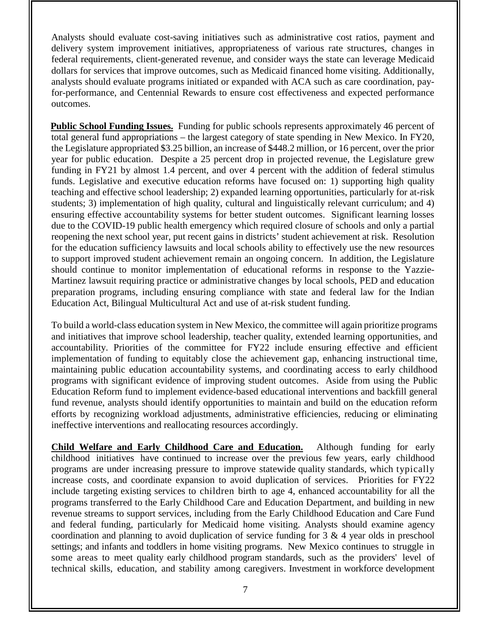Analysts should evaluate cost-saving initiatives such as administrative cost ratios, payment and delivery system improvement initiatives, appropriateness of various rate structures, changes in federal requirements, client-generated revenue, and consider ways the state can leverage Medicaid dollars for services that improve outcomes, such as Medicaid financed home visiting. Additionally, analysts should evaluate programs initiated or expanded with ACA such as care coordination, payfor-performance, and Centennial Rewards to ensure cost effectiveness and expected performance outcomes.

**Public School Funding Issues.** Funding for public schools represents approximately 46 percent of total general fund appropriations – the largest category of state spending in New Mexico. In FY20, the Legislature appropriated \$3.25 billion, an increase of \$448.2 million, or 16 percent, over the prior year for public education. Despite a 25 percent drop in projected revenue, the Legislature grew funding in FY21 by almost 1.4 percent, and over 4 percent with the addition of federal stimulus funds. Legislative and executive education reforms have focused on: 1) supporting high quality teaching and effective school leadership; 2) expanded learning opportunities, particularly for at-risk students; 3) implementation of high quality, cultural and linguistically relevant curriculum; and 4) ensuring effective accountability systems for better student outcomes. Significant learning losses due to the COVID-19 public health emergency which required closure of schools and only a partial reopening the next school year, put recent gains in districts' student achievement at risk. Resolution for the education sufficiency lawsuits and local schools ability to effectively use the new resources to support improved student achievement remain an ongoing concern. In addition, the Legislature should continue to monitor implementation of educational reforms in response to the Yazzie-Martinez lawsuit requiring practice or administrative changes by local schools, PED and education preparation programs, including ensuring compliance with state and federal law for the Indian Education Act, Bilingual Multicultural Act and use of at-risk student funding.

To build a world-class education system in New Mexico, the committee will again prioritize programs and initiatives that improve school leadership, teacher quality, extended learning opportunities, and accountability. Priorities of the committee for FY22 include ensuring effective and efficient implementation of funding to equitably close the achievement gap, enhancing instructional time, maintaining public education accountability systems, and coordinating access to early childhood programs with significant evidence of improving student outcomes. Aside from using the Public Education Reform fund to implement evidence-based educational interventions and backfill general fund revenue, analysts should identify opportunities to maintain and build on the education reform efforts by recognizing workload adjustments, administrative efficiencies, reducing or eliminating ineffective interventions and reallocating resources accordingly.

**Child Welfare and Early Childhood Care and Education.**Although funding for early childhood initiatives have continued to increase over the previous few years, early childhood programs are under increasing pressure to improve statewide quality standards, which typically increase costs, and coordinate expansion to avoid duplication of services. Priorities for FY22 include targeting existing services to children birth to age 4, enhanced accountability for all the programs transferred to the Early Childhood Care and Education Department, and building in new revenue streams to support services, including from the Early Childhood Education and Care Fund and federal funding, particularly for Medicaid home visiting. Analysts should examine agency coordination and planning to avoid duplication of service funding for 3 & 4 year olds in preschool settings; and infants and toddlers in home visiting programs. New Mexico continues to struggle in some areas to meet quality early childhood program standards, such as the providers' level of technical skills, education, and stability among caregivers. Investment in workforce development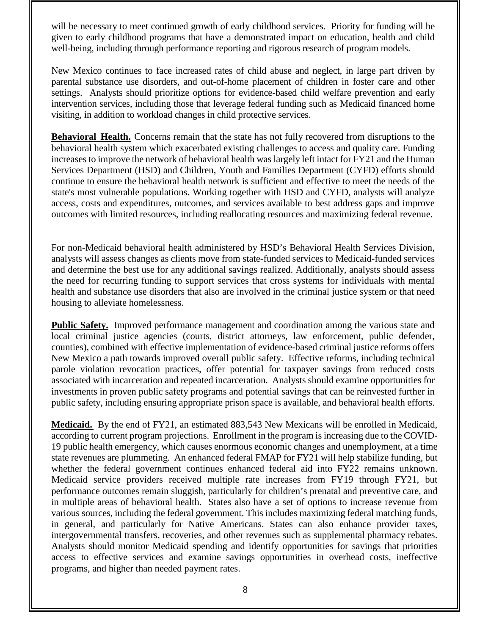will be necessary to meet continued growth of early childhood services. Priority for funding will be given to early childhood programs that have a demonstrated impact on education, health and child well-being, including through performance reporting and rigorous research of program models.

New Mexico continues to face increased rates of child abuse and neglect, in large part driven by parental substance use disorders, and out-of-home placement of children in foster care and other settings. Analysts should prioritize options for evidence-based child welfare prevention and early intervention services, including those that leverage federal funding such as Medicaid financed home visiting, in addition to workload changes in child protective services.

**Behavioral Health.** Concerns remain that the state has not fully recovered from disruptions to the behavioral health system which exacerbated existing challenges to access and quality care. Funding increases to improve the network of behavioral health was largely left intact for FY21 and the Human Services Department (HSD) and Children, Youth and Families Department (CYFD) efforts should continue to ensure the behavioral health network is sufficient and effective to meet the needs of the state's most vulnerable populations. Working together with HSD and CYFD, analysts will analyze access, costs and expenditures, outcomes, and services available to best address gaps and improve outcomes with limited resources, including reallocating resources and maximizing federal revenue.

For non-Medicaid behavioral health administered by HSD's Behavioral Health Services Division, analysts will assess changes as clients move from state-funded services to Medicaid-funded services and determine the best use for any additional savings realized. Additionally, analysts should assess the need for recurring funding to support services that cross systems for individuals with mental health and substance use disorders that also are involved in the criminal justice system or that need housing to alleviate homelessness.

**Public Safety.** Improved performance management and coordination among the various state and local criminal justice agencies (courts, district attorneys, law enforcement, public defender, counties), combined with effective implementation of evidence-based criminal justice reforms offers New Mexico a path towards improved overall public safety. Effective reforms, including technical parole violation revocation practices, offer potential for taxpayer savings from reduced costs associated with incarceration and repeated incarceration. Analysts should examine opportunities for investments in proven public safety programs and potential savings that can be reinvested further in public safety, including ensuring appropriate prison space is available, and behavioral health efforts.

**Medicaid.** By the end of FY21, an estimated 883,543 New Mexicans will be enrolled in Medicaid, according to current program projections. Enrollment in the program is increasing due to the COVID-19 public health emergency, which causes enormous economic changes and unemployment, at a time state revenues are plummeting. An enhanced federal FMAP for FY21 will help stabilize funding, but whether the federal government continues enhanced federal aid into FY22 remains unknown. Medicaid service providers received multiple rate increases from FY19 through FY21, but performance outcomes remain sluggish, particularly for children's prenatal and preventive care, and in multiple areas of behavioral health. States also have a set of options to increase revenue from various sources, including the federal government. This includes maximizing federal matching funds, in general, and particularly for Native Americans. States can also enhance provider taxes, intergovernmental transfers, recoveries, and other revenues such as supplemental pharmacy rebates. Analysts should monitor Medicaid spending and identify opportunities for savings that priorities access to effective services and examine savings opportunities in overhead costs, ineffective programs, and higher than needed payment rates.